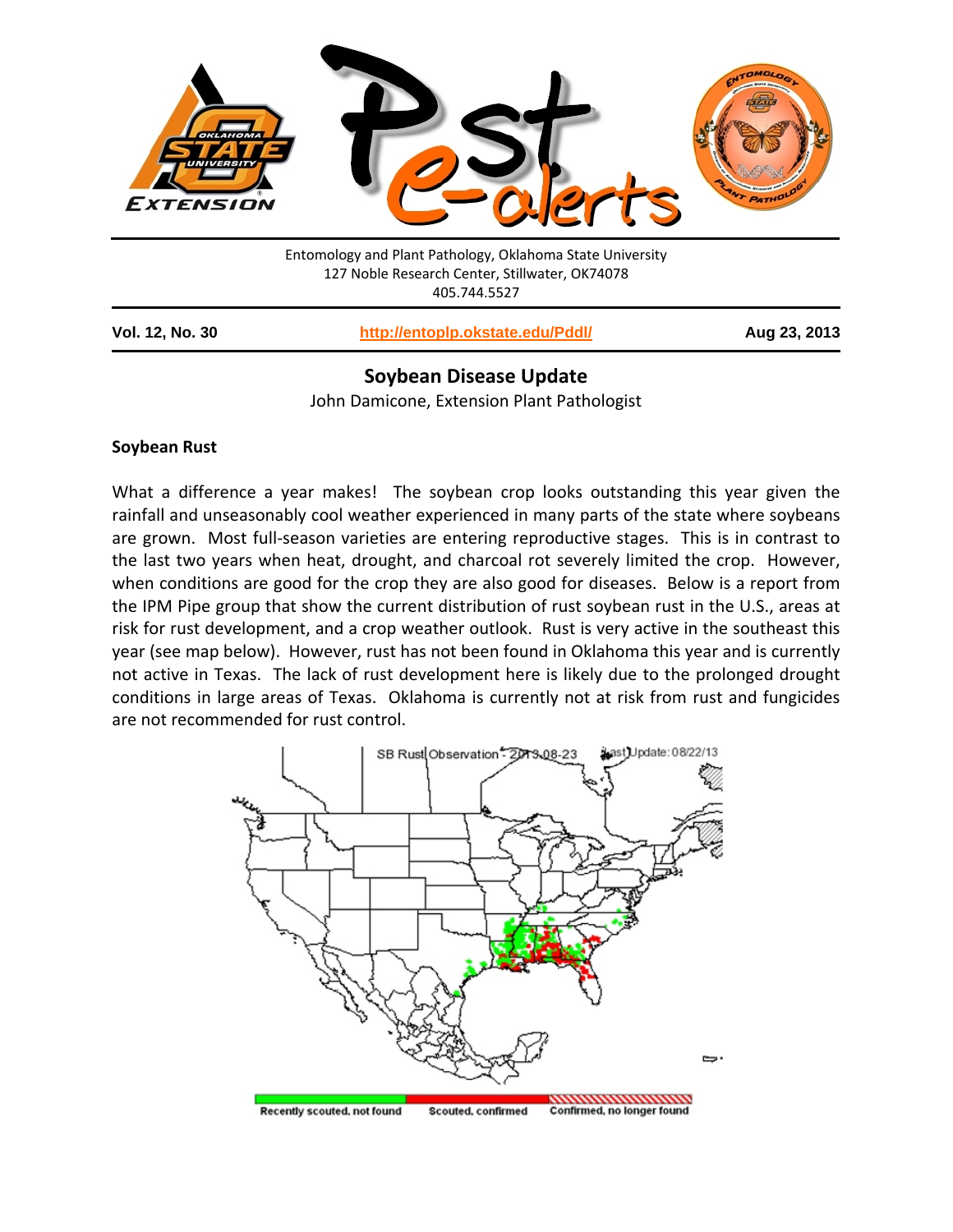

405.744.5527

| Vol. 12, No. 30 | http://entoplp.okstate.edu/Pddl/ | Aug 23, 2013 |
|-----------------|----------------------------------|--------------|
|-----------------|----------------------------------|--------------|

# **Soybean Disease Update**

John Damicone, Extension Plant Pathologist

## **Soybean Rust**

What a difference a year makes! The soybean crop looks outstanding this year given the rainfall and unseasonably cool weather experienced in many parts of the state where soybeans are grown. Most full-season varieties are entering reproductive stages. This is in contrast to the last two years when heat, drought, and charcoal rot severely limited the crop. However, when conditions are good for the crop they are also good for diseases. Below is a report from the IPM Pipe group that show the current distribution of rust soybean rust in the U.S., areas at risk for rust development, and a crop weather outlook. Rust is very active in the southeast this year (see map below). However, rust has not been found in Oklahoma this year and is currently not active in Texas. The lack of rust development here is likely due to the prolonged drought conditions in large areas of Texas. Oklahoma is currently not at risk from rust and fungicides are not recommended for rust control.

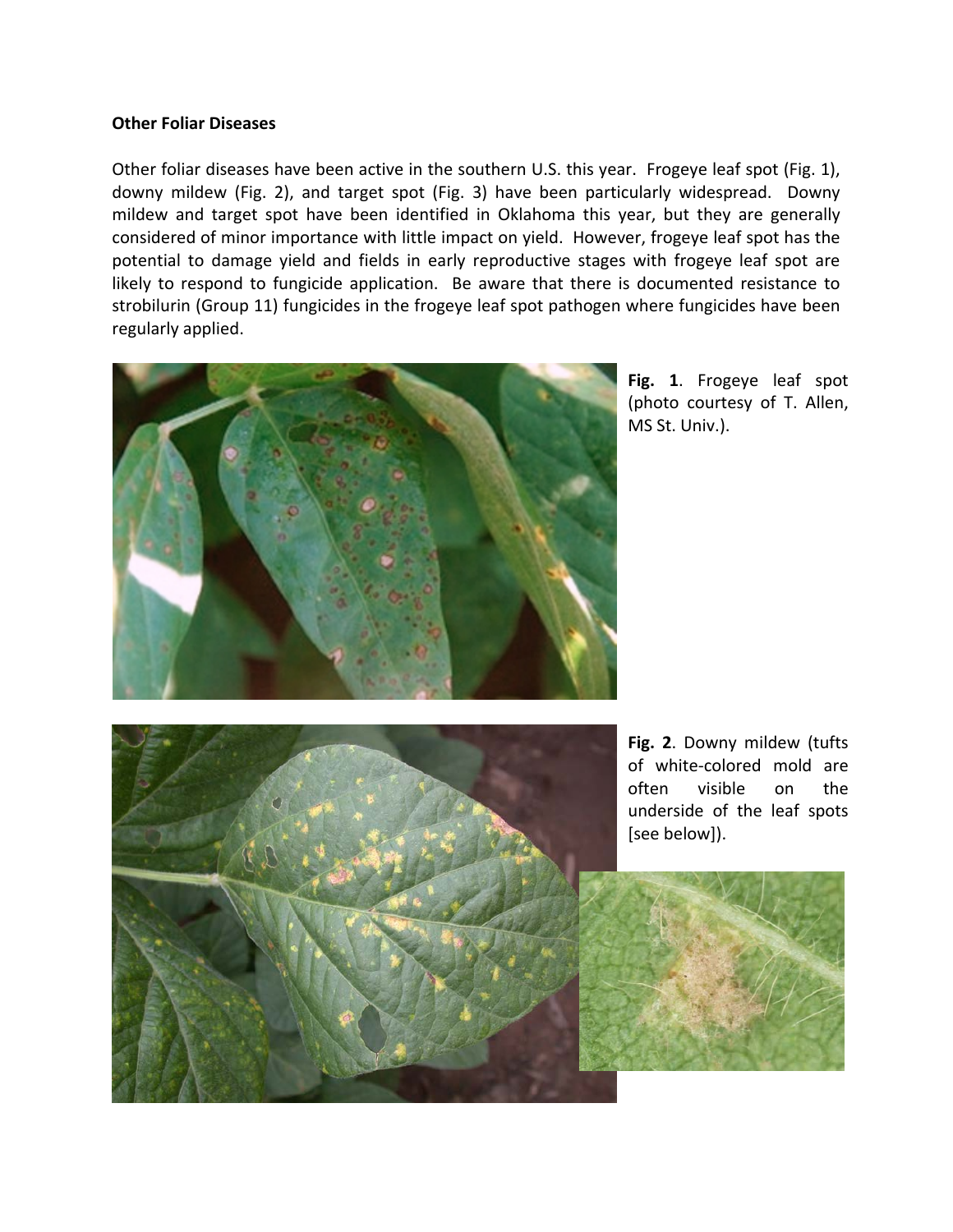### **Other Foliar Diseases**

Other foliar diseases have been active in the southern U.S. this year. Frogeye leaf spot (Fig. 1), downy mildew (Fig. 2), and target spot (Fig. 3) have been particularly widespread. Downy mildew and target spot have been identified in Oklahoma this year, but they are generally considered of minor importance with little impact on yield. However, frogeye leaf spot has the potential to damage yield and fields in early reproductive stages with frogeye leaf spot are likely to respond to fungicide application. Be aware that there is documented resistance to strobilurin (Group 11) fungicides in the frogeye leaf spot pathogen where fungicides have been regularly applied.



**Fig. 1**. Frogeye leaf spot (photo courtesy of T. Allen, MS St. Univ.).



**Fig. 2**. Downy mildew (tufts of white-colored mold are often visible on the underside of the leaf spots [see below]).

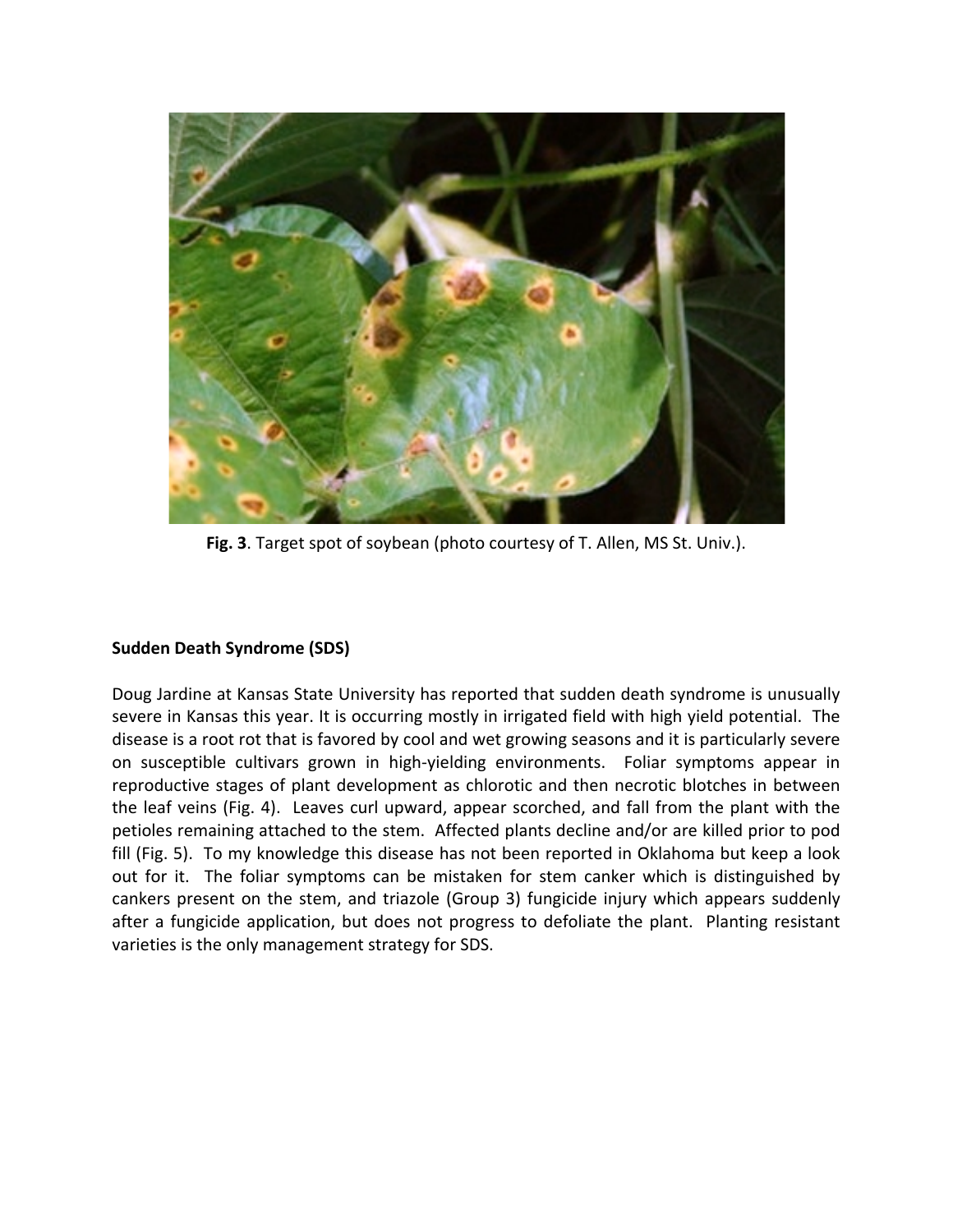

**Fig. 3**. Target spot of soybean (photo courtesy of T. Allen, MS St. Univ.).

# **Sudden Death Syndrome (SDS)**

Doug Jardine at Kansas State University has reported that sudden death syndrome is unusually severe in Kansas this year. It is occurring mostly in irrigated field with high yield potential. The disease is a root rot that is favored by cool and wet growing seasons and it is particularly severe on susceptible cultivars grown in high-yielding environments. Foliar symptoms appear in reproductive stages of plant development as chlorotic and then necrotic blotches in between the leaf veins (Fig. 4). Leaves curl upward, appear scorched, and fall from the plant with the petioles remaining attached to the stem. Affected plants decline and/or are killed prior to pod fill (Fig. 5). To my knowledge this disease has not been reported in Oklahoma but keep a look out for it. The foliar symptoms can be mistaken for stem canker which is distinguished by cankers present on the stem, and triazole (Group 3) fungicide injury which appears suddenly after a fungicide application, but does not progress to defoliate the plant. Planting resistant varieties is the only management strategy for SDS.